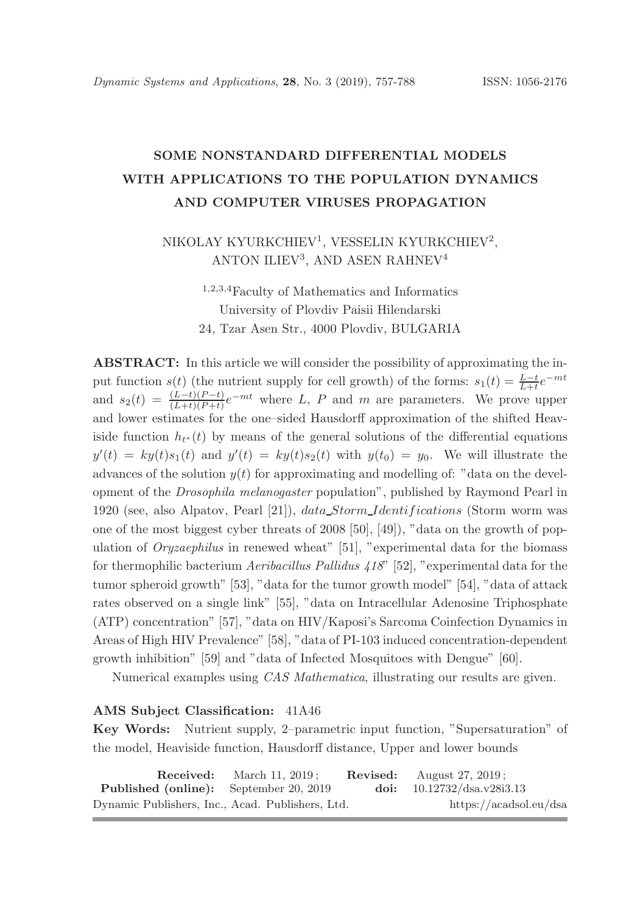# SOME NONSTANDARD DIFFERENTIAL MODELS WITH APPLICATIONS TO THE POPULATION DYNAMICS AND COMPUTER VIRUSES PROPAGATION

# NIKOLAY KYURKCHIEV<sup>1</sup>, VESSELIN KYURKCHIEV<sup>2</sup>, ANTON ILIEV<sup>3</sup>, AND ASEN RAHNEV<sup>4</sup>

<sup>1</sup>,2,3,<sup>4</sup>Faculty of Mathematics and Informatics University of Plovdiv Paisii Hilendarski 24, Tzar Asen Str., 4000 Plovdiv, BULGARIA

ABSTRACT: In this article we will consider the possibility of approximating the input function  $s(t)$  (the nutrient supply for cell growth) of the forms:  $s_1(t) = \frac{L-t}{L+t}e^{-mt}$ and  $s_2(t) = \frac{(L-t)(P-t)}{(L+t)(P+t)}e^{-mt}$  where L, P and m are parameters. We prove upper and lower estimates for the one–sided Hausdorff approximation of the shifted Heaviside function  $h_{t^*}(t)$  by means of the general solutions of the differential equations  $y'(t) = ky(t)s_1(t)$  and  $y'(t) = ky(t)s_2(t)$  with  $y(t_0) = y_0$ . We will illustrate the advances of the solution  $y(t)$  for approximating and modelling of: "data on the development of the *Drosophila melanogaster* population", published by Raymond Pearl in 1920 (see, also Alpatov, Pearl [21]), data Storm Identif ications (Storm worm was one of the most biggest cyber threats of 2008 [50], [49]), "data on the growth of population of *Oryzaephilus* in renewed wheat" [51], "experimental data for the biomass for thermophilic bacterium *Aeribacillus Pallidus 418*" [52], "experimental data for the tumor spheroid growth" [53], "data for the tumor growth model" [54], "data of attack rates observed on a single link" [55], "data on Intracellular Adenosine Triphosphate (ATP) concentration" [57], "data on HIV/Kaposi's Sarcoma Coinfection Dynamics in Areas of High HIV Prevalence" [58], "data of PI-103 induced concentration-dependent growth inhibition" [59] and "data of Infected Mosquitoes with Dengue" [60].

Numerical examples using *CAS Mathematica*, illustrating our results are given.

#### AMS Subject Classification: 41A46

Key Words: Nutrient supply, 2–parametric input function, "Supersaturation" of the model, Heaviside function, Hausdorff distance, Upper and lower bounds

|                                                  | <b>Received:</b> March 11, $2019$ ; | <b>Revised:</b> August $27, 2019$ ; |
|--------------------------------------------------|-------------------------------------|-------------------------------------|
| <b>Published (online):</b> September 20, 2019    |                                     | doi: $10.12732/dsa.v28i3.13$        |
| Dynamic Publishers, Inc., Acad. Publishers, Ltd. |                                     | https://acadsol.eu/dsa              |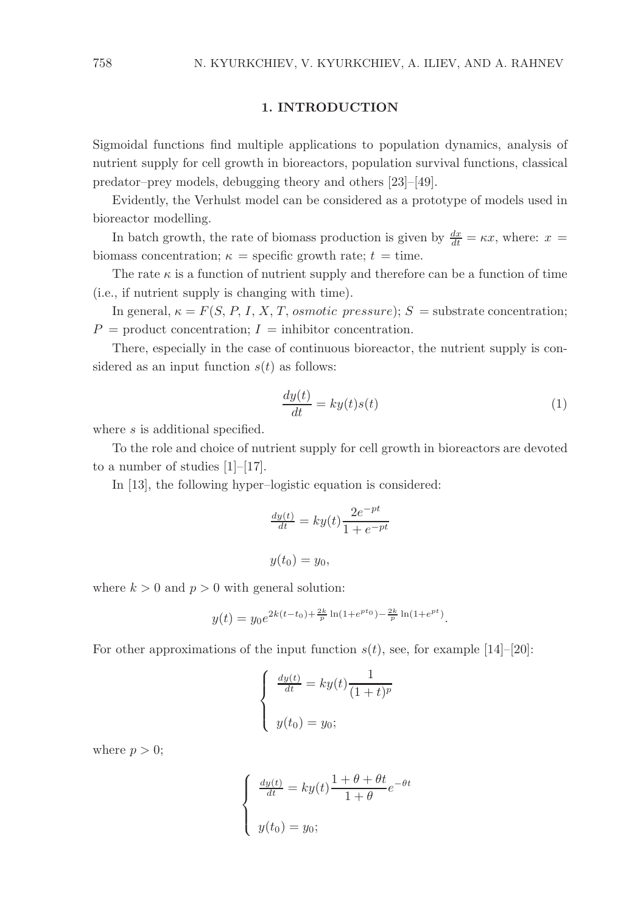### 1. INTRODUCTION

Sigmoidal functions find multiple applications to population dynamics, analysis of nutrient supply for cell growth in bioreactors, population survival functions, classical predator–prey models, debugging theory and others [23]–[49].

Evidently, the Verhulst model can be considered as a prototype of models used in bioreactor modelling.

In batch growth, the rate of biomass production is given by  $\frac{dx}{dt} = \kappa x$ , where:  $x =$ biomass concentration;  $\kappa$  = specific growth rate;  $t$  = time.

The rate  $\kappa$  is a function of nutrient supply and therefore can be a function of time (i.e., if nutrient supply is changing with time).

In general,  $\kappa = F(S, P, I, X, T, osmotic pressure); S =$  substrate concentration;  $P =$  product concentration;  $I =$  inhibitor concentration.

There, especially in the case of continuous bioreactor, the nutrient supply is considered as an input function  $s(t)$  as follows:

$$
\frac{dy(t)}{dt} = ky(t)s(t)
$$
\n(1)

where s is additional specified.

To the role and choice of nutrient supply for cell growth in bioreactors are devoted to a number of studies [1]–[17].

In [13], the following hyper–logistic equation is considered:

$$
\frac{dy(t)}{dt} = ky(t)\frac{2e^{-pt}}{1+e^{-pt}}
$$

$$
y(t_0) = y_0,
$$

where  $k > 0$  and  $p > 0$  with general solution:

$$
y(t) = y_0 e^{2k(t-t_0) + \frac{2k}{p} \ln(1 + e^{pt_0}) - \frac{2k}{p} \ln(1 + e^{pt})}.
$$

For other approximations of the input function  $s(t)$ , see, for example [14]–[20]:

$$
\begin{cases}\n\frac{dy(t)}{dt} = ky(t)\frac{1}{(1+t)^p} \\
y(t_0) = y_0;\n\end{cases}
$$

where  $p > 0$ ;

$$
\begin{cases} \frac{dy(t)}{dt} = ky(t) \frac{1+\theta+\theta t}{1+\theta} e^{-\theta t} \\ y(t_0) = y_0; \end{cases}
$$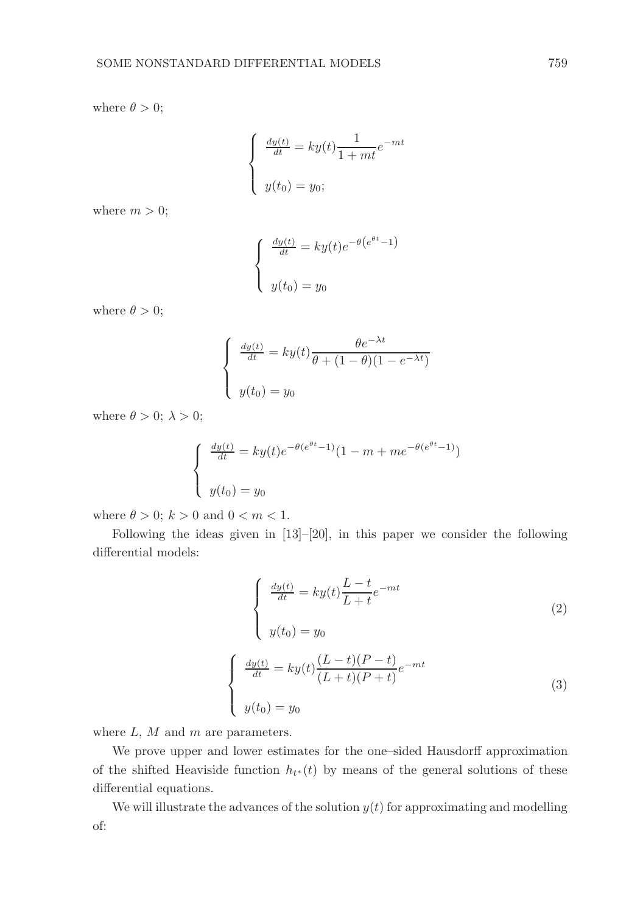where  $\theta > 0$ ;

$$
\begin{cases} \frac{dy(t)}{dt} = ky(t) \frac{1}{1+mt} e^{-mt} \\ y(t_0) = y_0; \end{cases}
$$

where  $m > 0$ ;

$$
\begin{cases} \frac{dy(t)}{dt} = ky(t)e^{-\theta(e^{\theta t}-1)} \\ y(t_0) = y_0 \end{cases}
$$

where  $\theta > 0$ ;

$$
\begin{cases}\n\frac{dy(t)}{dt} = ky(t)\frac{\theta e^{-\lambda t}}{\theta + (1 - \theta)(1 - e^{-\lambda t})} \\
y(t_0) = y_0\n\end{cases}
$$

where  $\theta > 0$ ;  $\lambda > 0$ ;

$$
\begin{cases} \frac{dy(t)}{dt} = ky(t)e^{-\theta(e^{\theta t}-1)}(1-m+me^{-\theta(e^{\theta t}-1)})\\ y(t_0) = y_0 \end{cases}
$$

where  $\theta > 0$ ;  $k > 0$  and  $0 < m < 1$ .

Following the ideas given in  $[13]-[20]$ , in this paper we consider the following differential models:

$$
\begin{cases}\n\frac{dy(t)}{dt} = ky(t)\frac{L-t}{L+t}e^{-mt} \\
y(t_0) = y_0\n\end{cases}
$$
\n(2)

$$
\begin{cases}\n\frac{dy(t)}{dt} = ky(t)\frac{(L-t)(P-t)}{(L+t)(P+t)}e^{-mt} \\
y(t_0) = y_0\n\end{cases}
$$
\n(3)

where  $L, M$  and  $m$  are parameters.

We prove upper and lower estimates for the one–sided Hausdorff approximation of the shifted Heaviside function  $h_{t^*}(t)$  by means of the general solutions of these differential equations.

We will illustrate the advances of the solution  $y(t)$  for approximating and modelling of: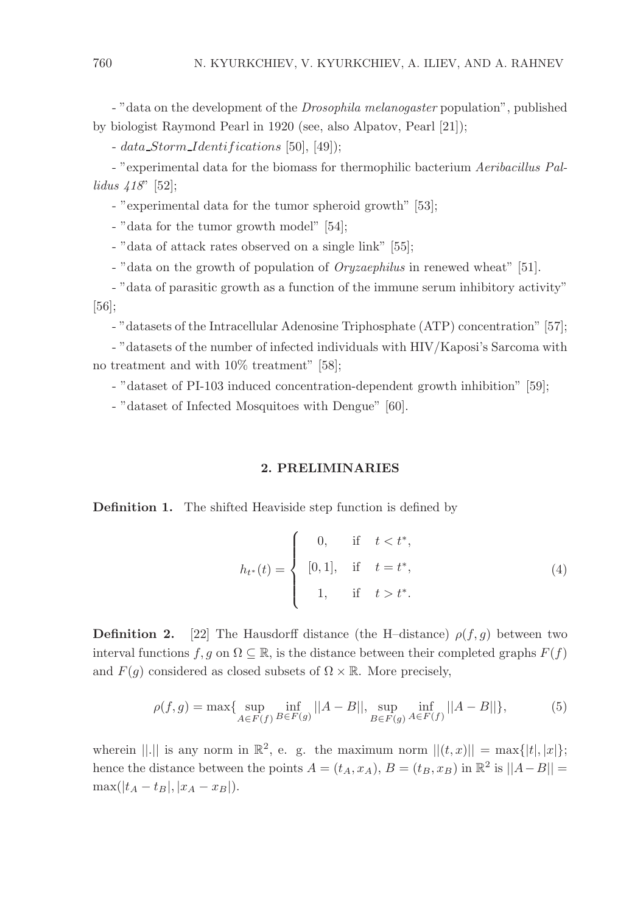- "data on the development of the *Drosophila melanogaster* population", published by biologist Raymond Pearl in 1920 (see, also Alpatov, Pearl [21]);

 $- data\_Storm\_Identifications [50], [49]$ ;

- "experimental data for the biomass for thermophilic bacterium *Aeribacillus Pallidus 418*" [52];

- "experimental data for the tumor spheroid growth" [53];

- "data for the tumor growth model" [54];

- "data of attack rates observed on a single link" [55];

- "data on the growth of population of *Oryzaephilus* in renewed wheat" [51].

- "data of parasitic growth as a function of the immune serum inhibitory activity" [56];

- "datasets of the Intracellular Adenosine Triphosphate (ATP) concentration" [57];

- "datasets of the number of infected individuals with HIV/Kaposi's Sarcoma with no treatment and with 10% treatment" [58];

- "dataset of PI-103 induced concentration-dependent growth inhibition" [59];

- "dataset of Infected Mosquitoes with Dengue" [60].

### 2. PRELIMINARIES

Definition 1. The shifted Heaviside step function is defined by

$$
h_{t^*}(t) = \begin{cases} 0, & \text{if } t < t^*, \\ [0,1], & \text{if } t = t^*, \\ 1, & \text{if } t > t^*. \end{cases}
$$
 (4)

**Definition 2.** [22] The Hausdorff distance (the H–distance)  $\rho(f, q)$  between two interval functions f, g on  $\Omega \subseteq \mathbb{R}$ , is the distance between their completed graphs  $F(f)$ and  $F(g)$  considered as closed subsets of  $\Omega \times \mathbb{R}$ . More precisely,

$$
\rho(f,g) = \max\{\sup_{A \in F(f)} \inf_{B \in F(g)} ||A - B||, \sup_{B \in F(g)} \inf_{A \in F(f)} ||A - B||\},\tag{5}
$$

wherein  $||.||$  is any norm in  $\mathbb{R}^2$ , e. g. the maximum norm  $||(t, x)|| = \max\{|t|, |x|\};$ hence the distance between the points  $A = (t_A, x_A), B = (t_B, x_B)$  in  $\mathbb{R}^2$  is  $||A - B|| =$  $\max(|t_A - t_B|, |x_A - x_B|).$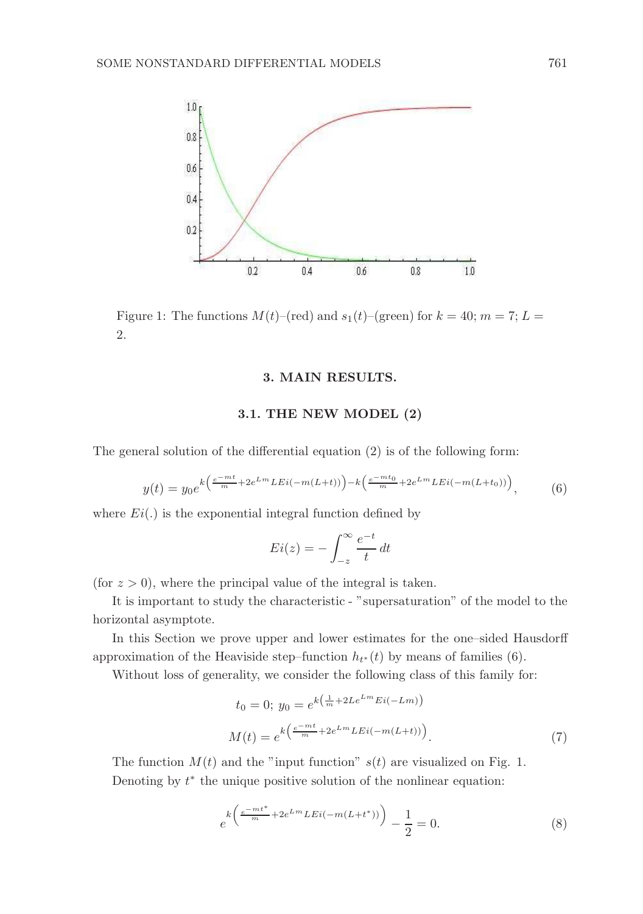

Figure 1: The functions  $M(t)$ –(red) and  $s_1(t)$ –(green) for  $k = 40$ ;  $m = 7$ ;  $L =$ 2.

### 3. MAIN RESULTS.

### 3.1. THE NEW MODEL (2)

The general solution of the differential equation (2) is of the following form:

$$
y(t) = y_0 e^{k\left(\frac{e^{-mt}}{m} + 2e^{Lm}LEi(-m(L+t))\right) - k\left(\frac{e^{-mt_0}}{m} + 2e^{Lm}LEi(-m(L+t_0))\right)},
$$
(6)

where  $Ei(.)$  is the exponential integral function defined by

$$
Ei(z) = -\int_{-z}^{\infty} \frac{e^{-t}}{t} dt
$$

(for  $z > 0$ ), where the principal value of the integral is taken.

It is important to study the characteristic - "supersaturation" of the model to the horizontal asymptote.

In this Section we prove upper and lower estimates for the one–sided Hausdorff approximation of the Heaviside step–function  $h_{t^*}(t)$  by means of families (6).

Without loss of generality, we consider the following class of this family for:

$$
t_0 = 0; \ y_0 = e^{k\left(\frac{1}{m} + 2Le^{Lm} Ei(-Lm)\right)}
$$

$$
M(t) = e^{k\left(\frac{e^{-mt}}{m} + 2e^{Lm} LEi(-m(L+t))\right)}.
$$
 (7)

The function  $M(t)$  and the "input function"  $s(t)$  are visualized on Fig. 1. Denoting by  $t^*$  the unique positive solution of the nonlinear equation:

$$
e^{k\left(\frac{e^{-mt^*}}{m} + 2e^{Lm}LEi(-m(L+t^*))\right)} - \frac{1}{2} = 0.
$$
 (8)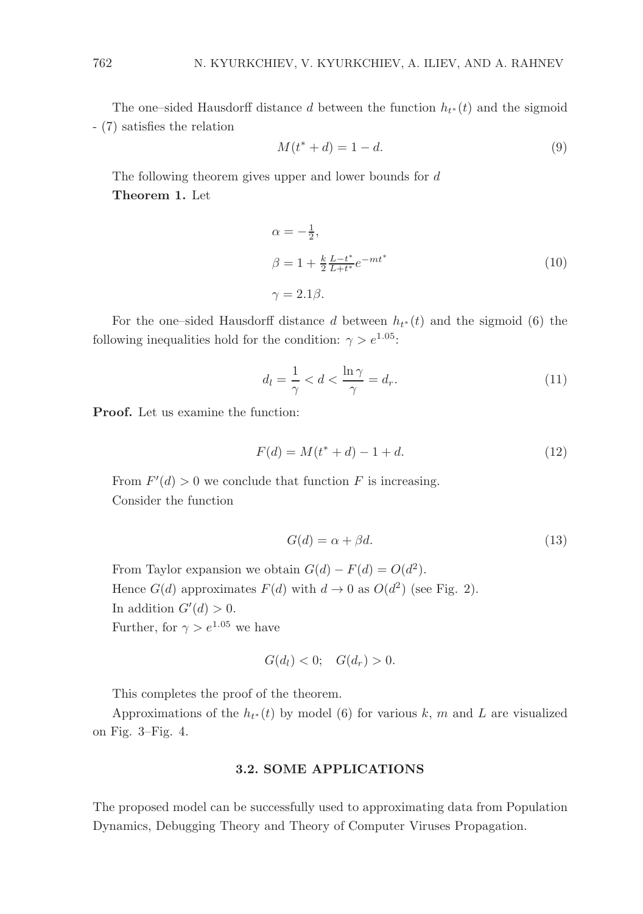The one–sided Hausdorff distance d between the function  $h_{t*}(t)$  and the sigmoid - (7) satisfies the relation

$$
M(t^* + d) = 1 - d.
$$
 (9)

The following theorem gives upper and lower bounds for d Theorem 1. Let

$$
\alpha = -\frac{1}{2},
$$
  
\n
$$
\beta = 1 + \frac{k}{2} \frac{L - t^*}{L + t^*} e^{-mt^*}
$$
  
\n
$$
\gamma = 2.1\beta.
$$
\n(10)

For the one–sided Hausdorff distance d between  $h_{t*}(t)$  and the sigmoid (6) the following inequalities hold for the condition:  $\gamma > e^{1.05}$ :

$$
d_l = \frac{1}{\gamma} < d < \frac{\ln \gamma}{\gamma} = d_r. \tag{11}
$$

Proof. Let us examine the function:

$$
F(d) = M(t^* + d) - 1 + d.
$$
\n(12)

From  $F'(d) > 0$  we conclude that function F is increasing. Consider the function

$$
G(d) = \alpha + \beta d. \tag{13}
$$

From Taylor expansion we obtain  $G(d) - F(d) = O(d^2)$ . Hence  $G(d)$  approximates  $F(d)$  with  $d \to 0$  as  $O(d^2)$  (see Fig. 2). In addition  $G'(d) > 0$ . Further, for  $\gamma > e^{1.05}$  we have

$$
G(d_l) < 0; \quad G(d_r) > 0.
$$

This completes the proof of the theorem.

Approximations of the  $h_{t*}(t)$  by model (6) for various k, m and L are visualized on Fig. 3–Fig. 4.

### 3.2. SOME APPLICATIONS

The proposed model can be successfully used to approximating data from Population Dynamics, Debugging Theory and Theory of Computer Viruses Propagation.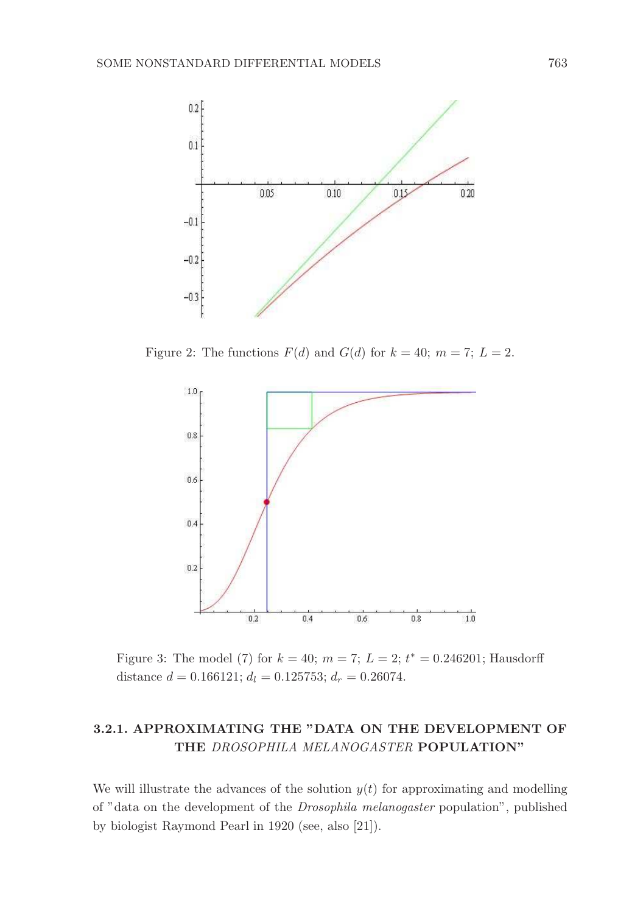

Figure 2: The functions  $F(d)$  and  $G(d)$  for  $k = 40$ ;  $m = 7$ ;  $L = 2$ .



Figure 3: The model (7) for  $k = 40$ ;  $m = 7$ ;  $L = 2$ ;  $t^* = 0.246201$ ; Hausdorff distance  $d = 0.166121$ ;  $d_l = 0.125753$ ;  $d_r = 0.26074$ .

## 3.2.1. APPROXIMATING THE "DATA ON THE DEVELOPMENT OF THE *DROSOPHILA MELANOGASTER* POPULATION"

We will illustrate the advances of the solution  $y(t)$  for approximating and modelling of "data on the development of the *Drosophila melanogaster* population", published by biologist Raymond Pearl in 1920 (see, also [21]).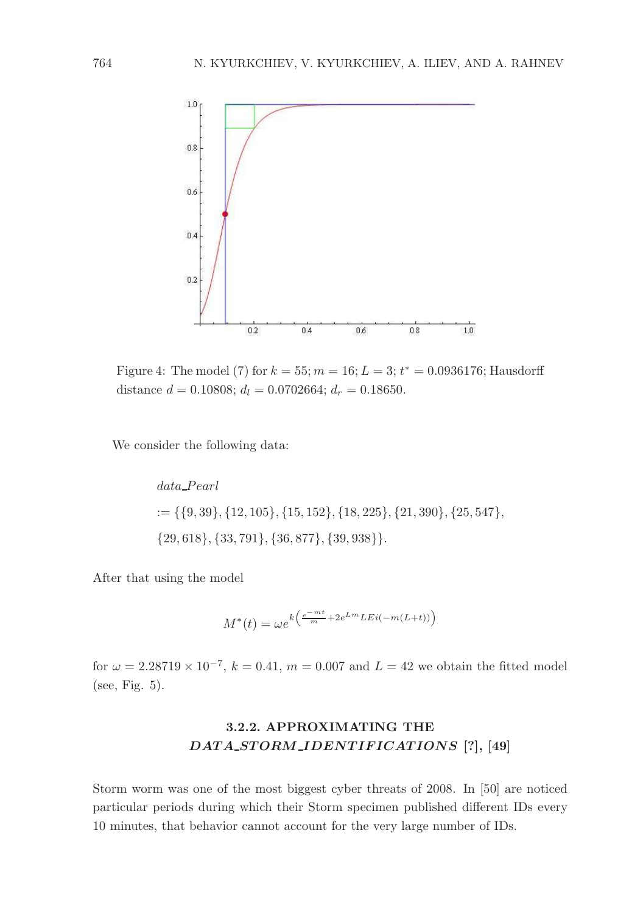

Figure 4: The model (7) for  $k = 55$ ;  $m = 16$ ;  $L = 3$ ;  $t^* = 0.0936176$ ; Hausdorff distance  $d = 0.10808$ ;  $d_l = 0.0702664$ ;  $d_r = 0.18650$ .

We consider the following data:

 $data\_Pearl$  $:= \{ \{9, 39\}, \{12, 105\}, \{15, 152\}, \{18, 225\}, \{21, 390\}, \{25, 547\}, \}$  ${29, 618}, {33, 791}, {36, 877}, {39, 938}.$ 

After that using the model

$$
M^*(t) = \omega e^{k\left(\frac{e^{-mt}}{m} + 2e^{Lm}LEi(-m(L+t))\right)}
$$

for  $\omega = 2.28719 \times 10^{-7}$ ,  $k = 0.41$ ,  $m = 0.007$  and  $L = 42$  we obtain the fitted model (see, Fig. 5).

# 3.2.2. APPROXIMATING THE DATA\_STORM\_IDENTIFICATIONS [?], [49]

Storm worm was one of the most biggest cyber threats of 2008. In [50] are noticed particular periods during which their Storm specimen published different IDs every 10 minutes, that behavior cannot account for the very large number of IDs.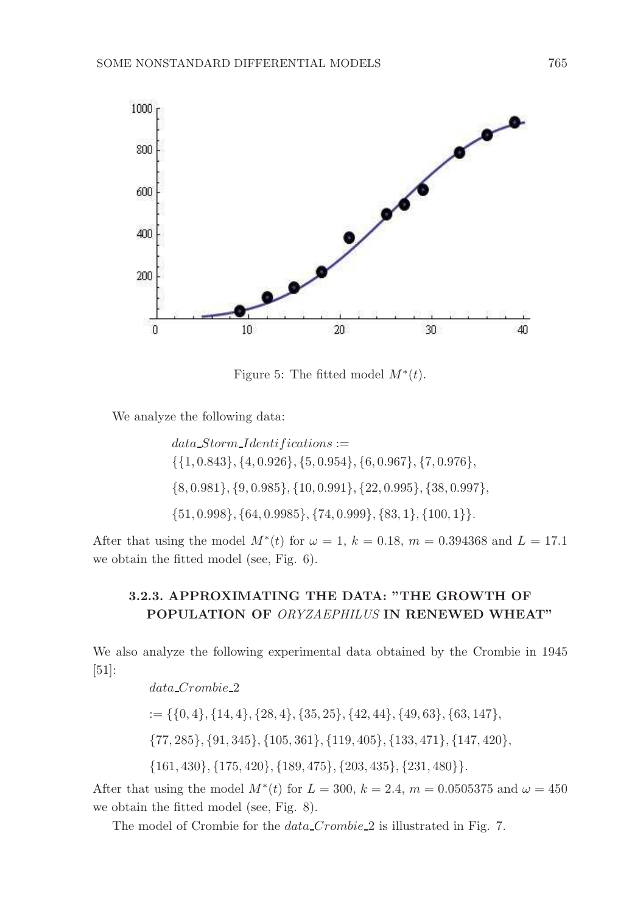

Figure 5: The fitted model  $M^*(t)$ .

We analyze the following data:

 $data\_Storm\_Identifications :=$ {{1, 0.843}, {4, 0.926}, {5, 0.954}, {6, 0.967}, {7, 0.976}, {8, 0.981}, {9, 0.985}, {10, 0.991}, {22, 0.995}, {38, 0.997}, {51, 0.998}, {64, 0.9985}, {74, 0.999}, {83, 1}, {100, 1}}.

After that using the model  $M^*(t)$  for  $\omega = 1$ ,  $k = 0.18$ ,  $m = 0.394368$  and  $L = 17.1$ we obtain the fitted model (see, Fig. 6).

# 3.2.3. APPROXIMATING THE DATA: "THE GROWTH OF POPULATION OF *ORYZAEPHILUS* IN RENEWED WHEAT"

We also analyze the following experimental data obtained by the Crombie in 1945 [51]:

> data Crombie 2  $:= \{\{0,4\}, \{14,4\}, \{28,4\}, \{35,25\}, \{42,44\}, \{49,63\}, \{63,147\},\$ {77, 285}, {91, 345}, {105, 361}, {119, 405}, {133, 471}, {147, 420}, {161, 430}, {175, 420}, {189, 475}, {203, 435}, {231, 480}}.

After that using the model  $M^*(t)$  for  $L = 300, k = 2.4, m = 0.0505375$  and  $\omega = 450$ we obtain the fitted model (see, Fig. 8).

The model of Crombie for the *data* Crombie 2 is illustrated in Fig. 7.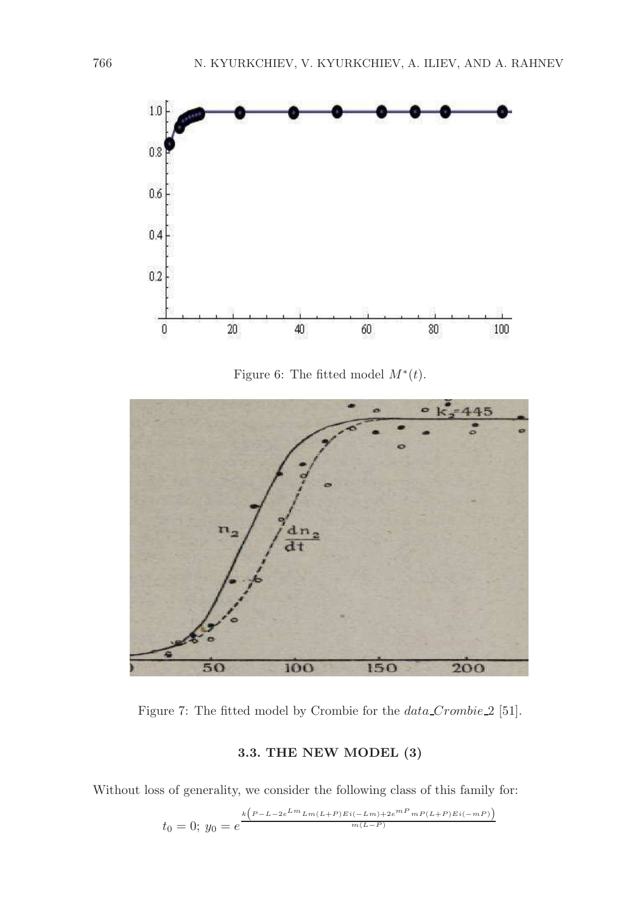

Figure 6: The fitted model  $M^*(t)$ .



Figure 7: The fitted model by Crombie for the  $data\_Crombie_2$  [51].

# 3.3. THE NEW MODEL (3)

Without loss of generality, we consider the following class of this family for:

$$
t_0 = 0; y_0 = e^{\frac{k\left(P - L - 2e^{Lm}Lm(L + P)Ei(-Lm) + 2e^{mP}mP(L + P)Ei(-mP)\right)}{m(L - P)}}
$$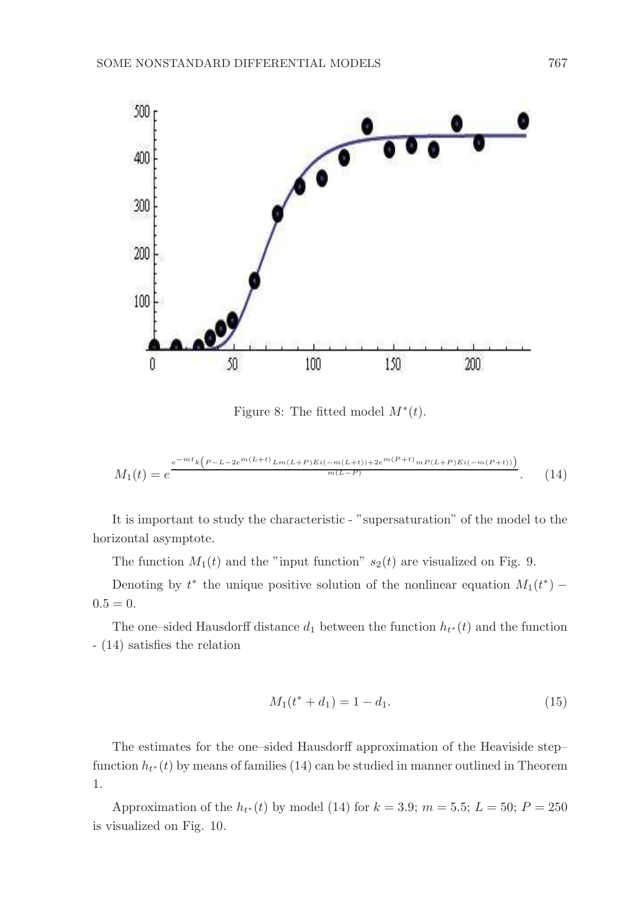

Figure 8: The fitted model  $M^*(t)$ .

$$
M_1(t) = e^{\frac{e^{-mt}k\left(P-L-2e^{m(L+t)}L_m(L+P)Ei(-m(L+t))+2e^{m(P+t)}mP(L+P)Ei(-m(P+t))\right)}{m(L-P)}}.\tag{14}
$$

It is important to study the characteristic - "supersaturation" of the model to the horizontal asymptote.

The function  $M_1(t)$  and the "input function"  $s_2(t)$  are visualized on Fig. 9.

Denoting by  $t^*$  the unique positive solution of the nonlinear equation  $M_1(t^*)$  –  $0.5 = 0.$ 

The one–sided Hausdorff distance  $d_1$  between the function  $h_{t*}(t)$  and the function - (14) satisfies the relation

$$
M_1(t^* + d_1) = 1 - d_1.
$$
\n(15)

The estimates for the one–sided Hausdorff approximation of the Heaviside step– function  $h_{t^*}(t)$  by means of families (14) can be studied in manner outlined in Theorem 1.

Approximation of the  $h_{t^*}(t)$  by model (14) for  $k = 3.9$ ;  $m = 5.5$ ;  $L = 50$ ;  $P = 250$ is visualized on Fig. 10.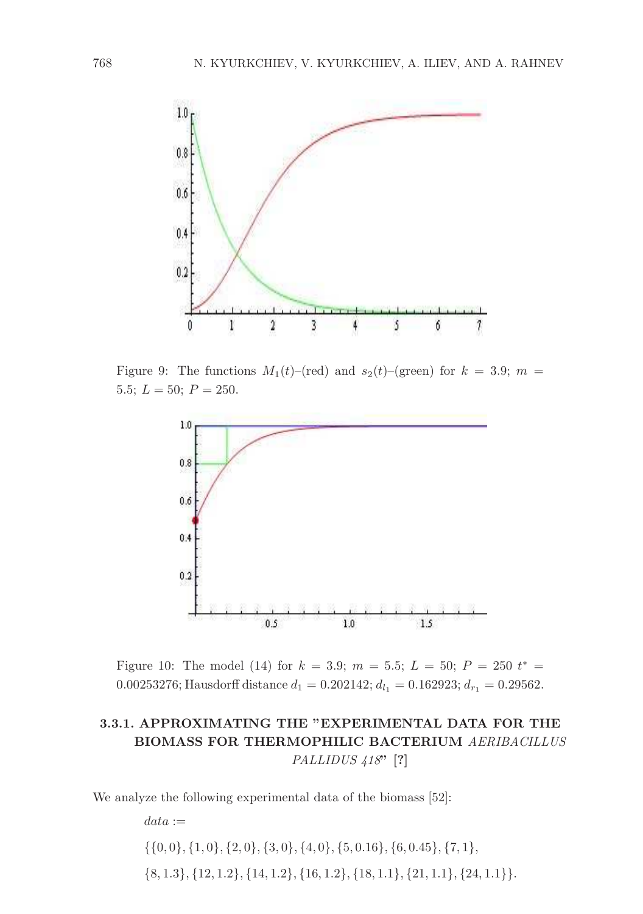

Figure 9: The functions  $M_1(t)$ –(red) and  $s_2(t)$ –(green) for  $k = 3.9$ ;  $m =$ 5.5;  $L = 50$ ;  $P = 250$ .



Figure 10: The model (14) for  $k = 3.9; m = 5.5; L = 50; P = 250 t^* =$ 0.00253276; Hausdorff distance  $d_1 = 0.202142$ ;  $d_{l_1} = 0.162923$ ;  $d_{r_1} = 0.29562$ .

# 3.3.1. APPROXIMATING THE "EXPERIMENTAL DATA FOR THE BIOMASS FOR THERMOPHILIC BACTERIUM *AERIBACILLUS PALLIDUS 418*" [?]

We analyze the following experimental data of the biomass [52]:

 $data :=$  $\{\{0,0\},\{1,0\},\{2,0\},\{3,0\},\{4,0\},\{5,0.16\},\{6,0.45\},\{7,1\},\$  $\{8,1.3\},\{12,1.2\},\{14,1.2\},\{16,1.2\},\{18,1.1\},\{21,1.1\},\{24,1.1\}\}.$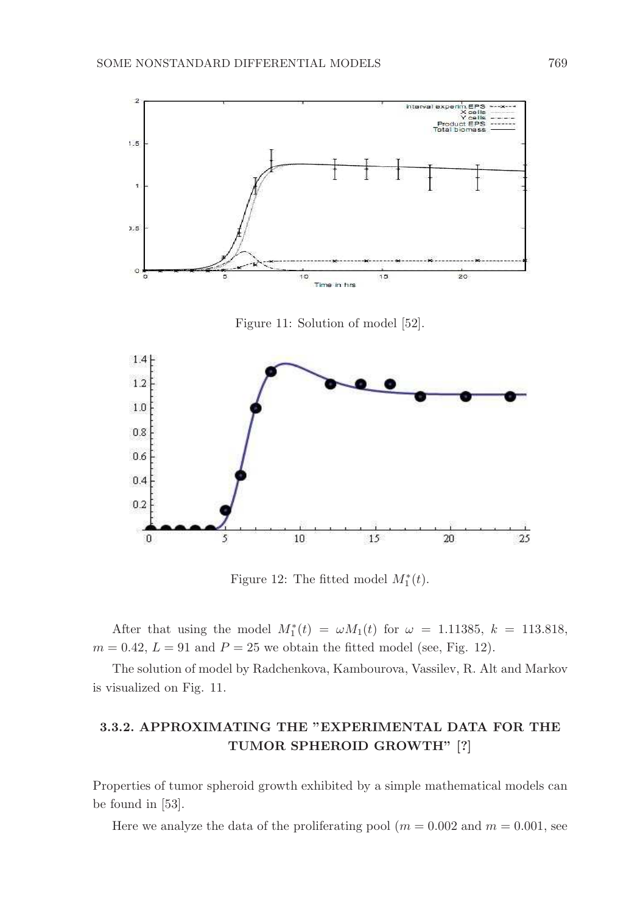

Figure 11: Solution of model [52].



Figure 12: The fitted model  $M_1^*(t)$ .

After that using the model  $M_1^*(t) = \omega M_1(t)$  for  $\omega = 1.11385, k = 113.818,$  $m = 0.42, L = 91$  and  $P = 25$  we obtain the fitted model (see, Fig. 12).

The solution of model by Radchenkova, Kambourova, Vassilev, R. Alt and Markov is visualized on Fig. 11.

# 3.3.2. APPROXIMATING THE "EXPERIMENTAL DATA FOR THE TUMOR SPHEROID GROWTH" [?]

Properties of tumor spheroid growth exhibited by a simple mathematical models can be found in [53].

Here we analyze the data of the proliferating pool  $(m = 0.002$  and  $m = 0.001$ , see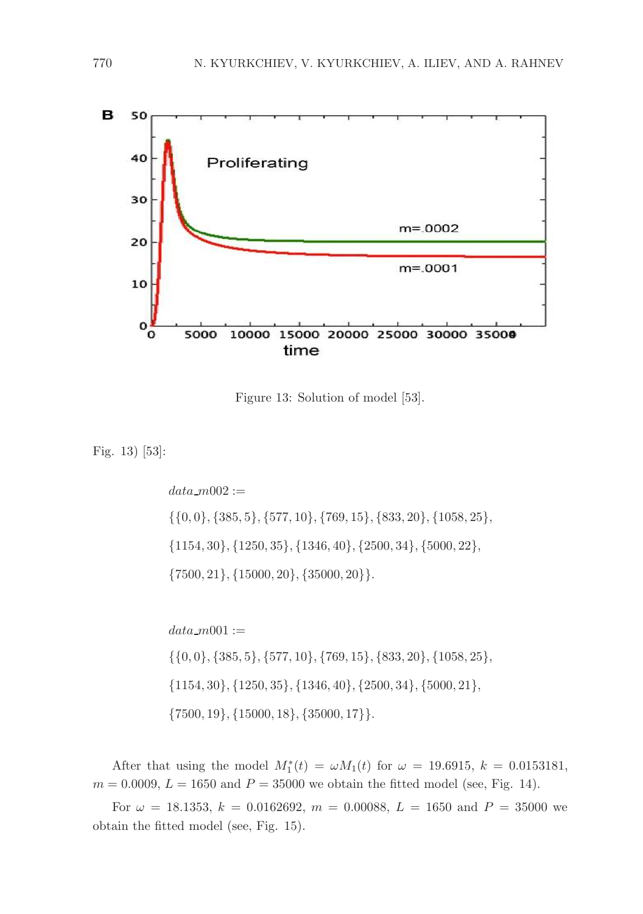

Figure 13: Solution of model [53].

Fig. 13) [53]:

 $data_m002 :=$ {{0, 0}, {385, 5}, {577, 10}, {769, 15}, {833, 20}, {1058, 25}, {1154, 30}, {1250, 35}, {1346, 40}, {2500, 34}, {5000, 22},  $\{7500, 21\}, \{15000, 20\}, \{35000, 20\}\}.$ 

 $data_{m001} :=$  $\{\{0,0\}, \{385,5\}, \{577,10\}, \{769,15\}, \{833,20\}, \{1058,25\},\$ {1154, 30}, {1250, 35}, {1346, 40}, {2500, 34}, {5000, 21},  $\{7500, 19\}, \{15000, 18\}, \{35000, 17\}\}.$ 

After that using the model  $M_1^*(t) = \omega M_1(t)$  for  $\omega = 19.6915, k = 0.0153181,$  $m = 0.0009, L = 1650$  and  $P = 35000$  we obtain the fitted model (see, Fig. 14).

For  $\omega = 18.1353$ ,  $k = 0.0162692$ ,  $m = 0.00088$ ,  $L = 1650$  and  $P = 35000$  we obtain the fitted model (see, Fig. 15).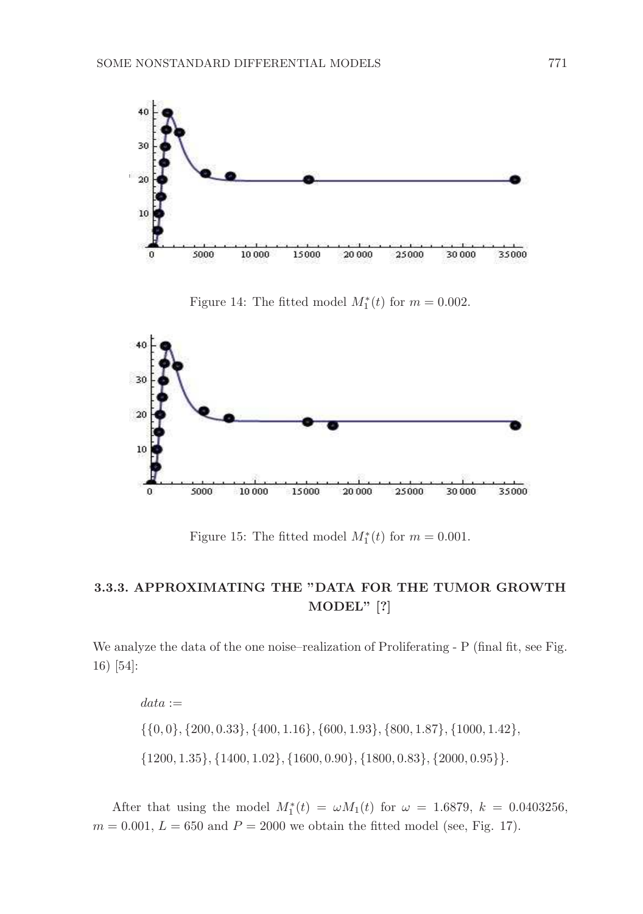



Figure 14: The fitted model  $M_1^*(t)$  for  $m = 0.002$ .

Figure 15: The fitted model  $M_1^*(t)$  for  $m = 0.001$ .

### 3.3.3. APPROXIMATING THE "DATA FOR THE TUMOR GROWTH MODEL" [?]

We analyze the data of the one noise–realization of Proliferating - P (final fit, see Fig. 16) [54]:

```
data :={{0, 0}, {200, 0.33}, {400, 1.16}, {600, 1.93}, {800, 1.87}, {1000, 1.42},
{1200, 1.35}, {1400, 1.02}, {1600, 0.90}, {1800, 0.83}, {2000, 0.95}}.
```
After that using the model  $M_1^*(t) = \omega M_1(t)$  for  $\omega = 1.6879$ ,  $k = 0.0403256$ ,  $m = 0.001, L = 650$  and  $P = 2000$  we obtain the fitted model (see, Fig. 17).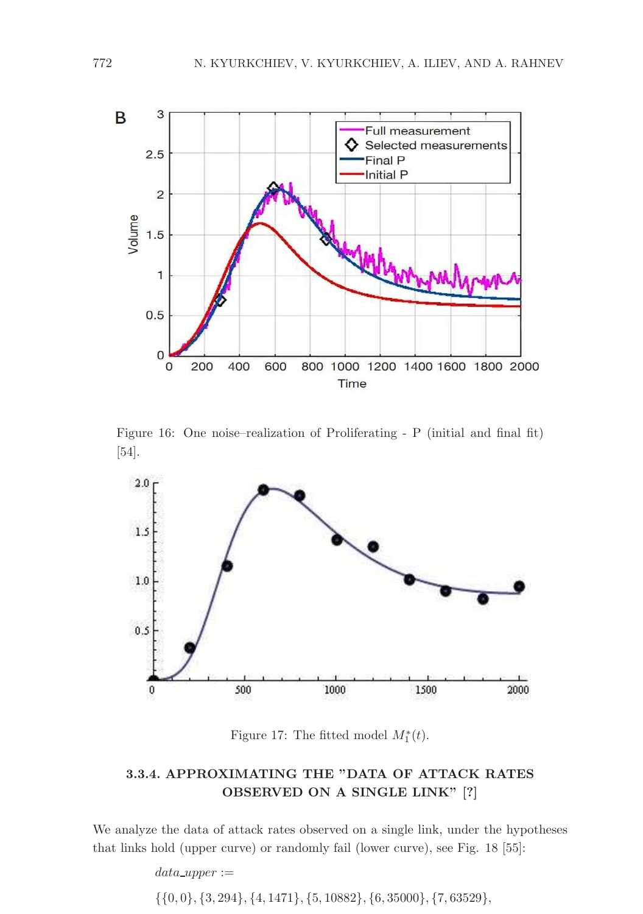

Figure 16: One noise–realization of Proliferating - P (initial and final fit) [54].



Figure 17: The fitted model  $M_1^*(t)$ .

### 3.3.4. APPROXIMATING THE "DATA OF ATTACK RATES OBSERVED ON A SINGLE LINK" [?]

We analyze the data of attack rates observed on a single link, under the hypotheses that links hold (upper curve) or randomly fail (lower curve), see Fig. 18 [55]:

> $data\_upper :=$ {{0, 0}, {3, 294}, {4, 1471}, {5, 10882}, {6, 35000}, {7, 63529},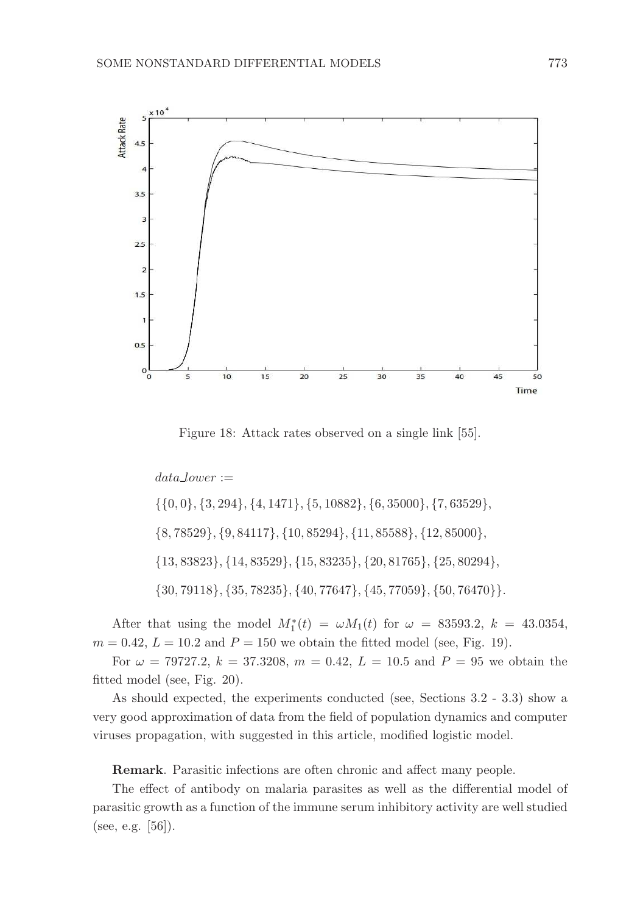

Figure 18: Attack rates observed on a single link [55].

 $data\text{Lower} :=$ {{0, 0}, {3, 294}, {4, 1471}, {5, 10882}, {6, 35000}, {7, 63529}, {8, 78529}, {9, 84117}, {10, 85294}, {11, 85588}, {12, 85000}, {13, 83823}, {14, 83529}, {15, 83235}, {20, 81765}, {25, 80294}, {30, 79118}, {35, 78235}, {40, 77647}, {45, 77059}, {50, 76470}}.

After that using the model  $M_1^*(t) = \omega M_1(t)$  for  $\omega = 83593.2$ ,  $k = 43.0354$ ,  $m = 0.42, L = 10.2$  and  $P = 150$  we obtain the fitted model (see, Fig. 19).

For  $\omega = 79727.2$ ,  $k = 37.3208$ ,  $m = 0.42$ ,  $L = 10.5$  and  $P = 95$  we obtain the fitted model (see, Fig. 20).

As should expected, the experiments conducted (see, Sections 3.2 - 3.3) show a very good approximation of data from the field of population dynamics and computer viruses propagation, with suggested in this article, modified logistic model.

Remark. Parasitic infections are often chronic and affect many people.

The effect of antibody on malaria parasites as well as the differential model of parasitic growth as a function of the immune serum inhibitory activity are well studied (see, e.g. [56]).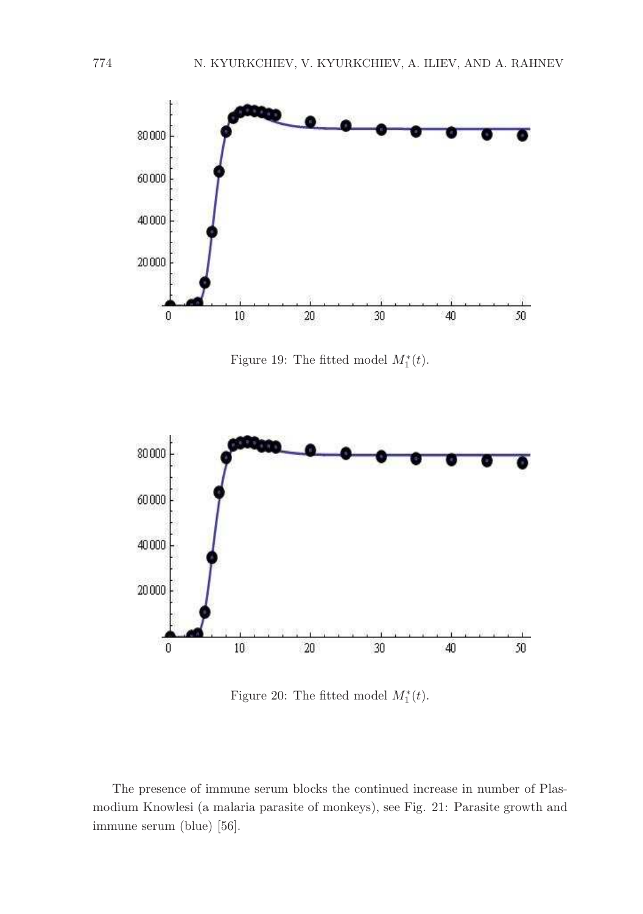

Figure 19: The fitted model  $M_1^*(t)$ .



Figure 20: The fitted model  $M_1^*(t)$ .

The presence of immune serum blocks the continued increase in number of Plasmodium Knowlesi (a malaria parasite of monkeys), see Fig. 21: Parasite growth and immune serum (blue) [56].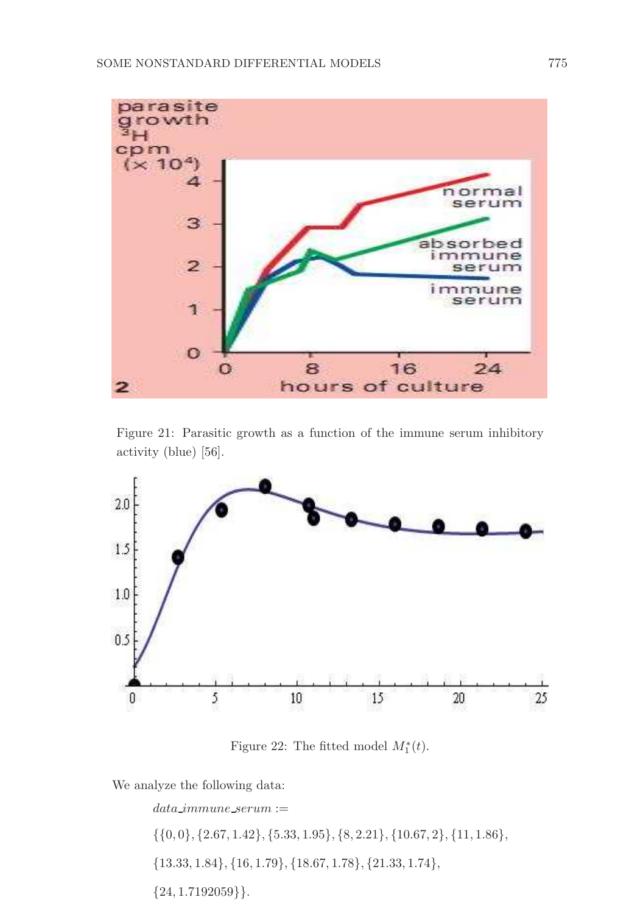

Figure 21: Parasitic growth as a function of the immune serum inhibitory activity (blue) [56].



Figure 22: The fitted model  $M_1^*(t)$ .

We analyze the following data:

 $data\_immune\_serum :=$  $\{\{0,0\},\{2.67,1.42\},\{5.33,1.95\},\{8,2.21\},\{10.67,2\},\{11,1.86\},$ {13.33, 1.84}, {16, 1.79}, {18.67, 1.78}, {21.33, 1.74},  ${24, 1.7192059}.$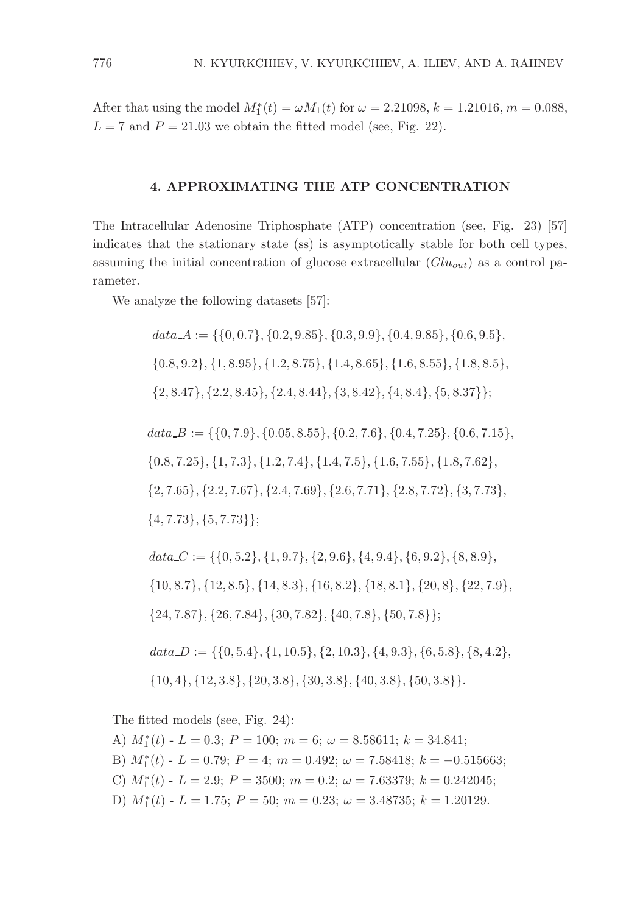After that using the model  $M_1^*(t) = \omega M_1(t)$  for  $\omega = 2.21098$ ,  $k = 1.21016$ ,  $m = 0.088$ ,  $L = 7$  and  $P = 21.03$  we obtain the fitted model (see, Fig. 22).

### 4. APPROXIMATING THE ATP CONCENTRATION

The Intracellular Adenosine Triphosphate (ATP) concentration (see, Fig. 23) [57] indicates that the stationary state (ss) is asymptotically stable for both cell types, assuming the initial concentration of glucose extracellular  $(Glu_{out})$  as a control parameter.

We analyze the following datasets [57]:

 $data_A := \{ \{0, 0.7\}, \{0.2, 9.85\}, \{0.3, 9.9\}, \{0.4, 9.85\}, \{0.6, 9.5\}, \{0.7\}, \{0.8, 9.9\} \}$ {0.8, 9.2}, {1, 8.95}, {1.2, 8.75}, {1.4, 8.65}, {1.6, 8.55}, {1.8, 8.5},  $\{2, 8.47\}, \{2.2, 8.45\}, \{2.4, 8.44\}, \{3, 8.42\}, \{4, 8.4\}, \{5, 8.37\}\};$  $data\_B := \{\{0, 7.9\}, \{0.05, 8.55\}, \{0.2, 7.6\}, \{0.4, 7.25\}, \{0.6, 7.15\},\}$ {0.8, 7.25}, {1, 7.3}, {1.2, 7.4}, {1.4, 7.5}, {1.6, 7.55}, {1.8, 7.62}, {2, 7.65}, {2.2, 7.67}, {2.4, 7.69}, {2.6, 7.71}, {2.8, 7.72}, {3, 7.73},  $\{4, 7.73\}, \{5, 7.73\}\};$  $data\_C := \{\{0, 5.2\}, \{1, 9.7\}, \{2, 9.6\}, \{4, 9.4\}, \{6, 9.2\}, \{8, 8.9\},\$ {10, 8.7}, {12, 8.5}, {14, 8.3}, {16, 8.2}, {18, 8.1}, {20, 8}, {22, 7.9},

 $data\_D := \{\{0, 5.4\}, \{1, 10.5\}, \{2, 10.3\}, \{4, 9.3\}, \{6, 5.8\}, \{8, 4.2\},\$ 

 $\{10, 4\}, \{12, 3.8\}, \{20, 3.8\}, \{30, 3.8\}, \{40, 3.8\}, \{50, 3.8\}\}.$ 

{24, 7.87}, {26, 7.84}, {30, 7.82}, {40, 7.8}, {50, 7.8}};

The fitted models (see, Fig. 24):

A)  $M_1^*(t)$  -  $L = 0.3; P = 100; m = 6; \omega = 8.58611; k = 34.841;$ 

B)  $M_1^*(t)$  -  $L = 0.79$ ;  $P = 4$ ;  $m = 0.492$ ;  $\omega = 7.58418$ ;  $k = -0.515663$ ;

C)  $M_1^*(t)$  -  $L = 2.9$ ;  $P = 3500$ ;  $m = 0.2$ ;  $\omega = 7.63379$ ;  $k = 0.242045$ ;

D)  $M_1^*(t)$  -  $L = 1.75$ ;  $P = 50$ ;  $m = 0.23$ ;  $\omega = 3.48735$ ;  $k = 1.20129$ .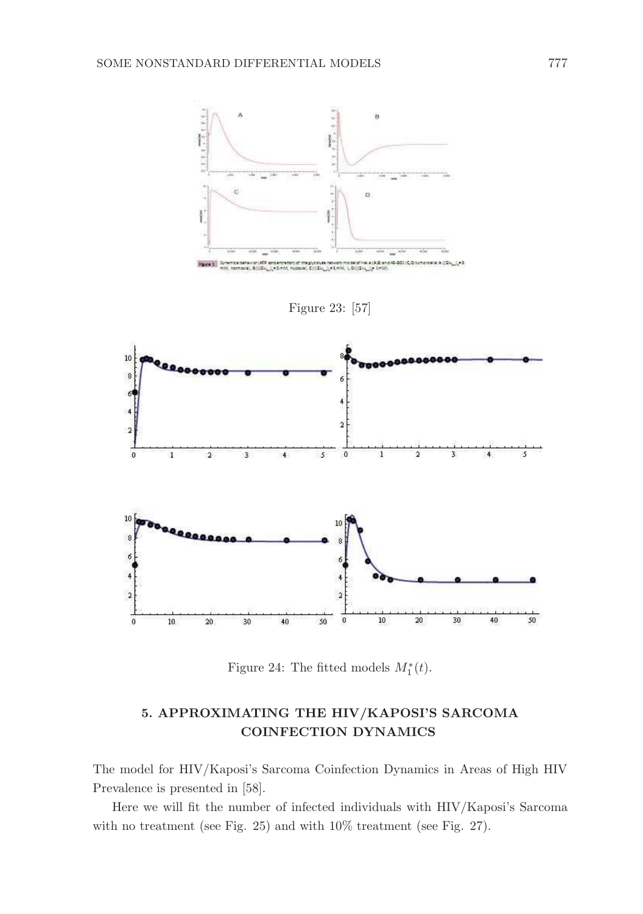

Figure 24: The fitted models  $M_1^*(t)$ .

# 5. APPROXIMATING THE HIV/KAPOSI'S SARCOMA COINFECTION DYNAMICS

The model for HIV/Kaposi's Sarcoma Coinfection Dynamics in Areas of High HIV Prevalence is presented in [58].

Here we will fit the number of infected individuals with HIV/Kaposi's Sarcoma with no treatment (see Fig. 25) and with 10% treatment (see Fig. 27).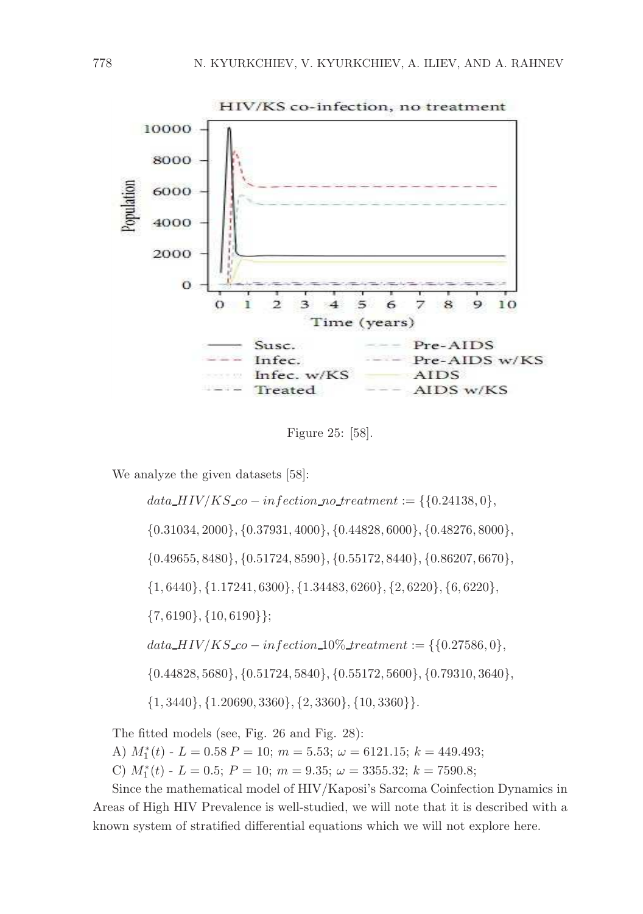

Figure 25: [58].

We analyze the given datasets [58]:

data  $HIV/KS_{co} - infection\_no\_treatment := \{\{0.24138, 0\},\}$ {0.31034, 2000}, {0.37931, 4000}, {0.44828, 6000}, {0.48276, 8000}, {0.49655, 8480}, {0.51724, 8590}, {0.55172, 8440}, {0.86207, 6670}, {1, 6440}, {1.17241, 6300}, {1.34483, 6260}, {2, 6220}, {6, 6220},  $\{7,6190\}, \{10,6190\}\};$  $data_HIV/KS_{co}-infection_10\%_treatment := \{\{0.27586, 0\},\}$ {0.44828, 5680}, {0.51724, 5840}, {0.55172, 5600}, {0.79310, 3640},  $\{1, 3440\}, \{1.20690, 3360\}, \{2, 3360\}, \{10, 3360\}\}.$ 

The fitted models (see, Fig. 26 and Fig. 28):

A)  $M_1^*(t)$  -  $L = 0.58 P = 10$ ;  $m = 5.53$ ;  $\omega = 6121.15$ ;  $k = 449.493$ ;

C)  $M_1^*(t)$  -  $L = 0.5; P = 10; m = 9.35; \omega = 3355.32; k = 7590.8;$ 

Since the mathematical model of HIV/Kaposi's Sarcoma Coinfection Dynamics in Areas of High HIV Prevalence is well-studied, we will note that it is described with a known system of stratified differential equations which we will not explore here.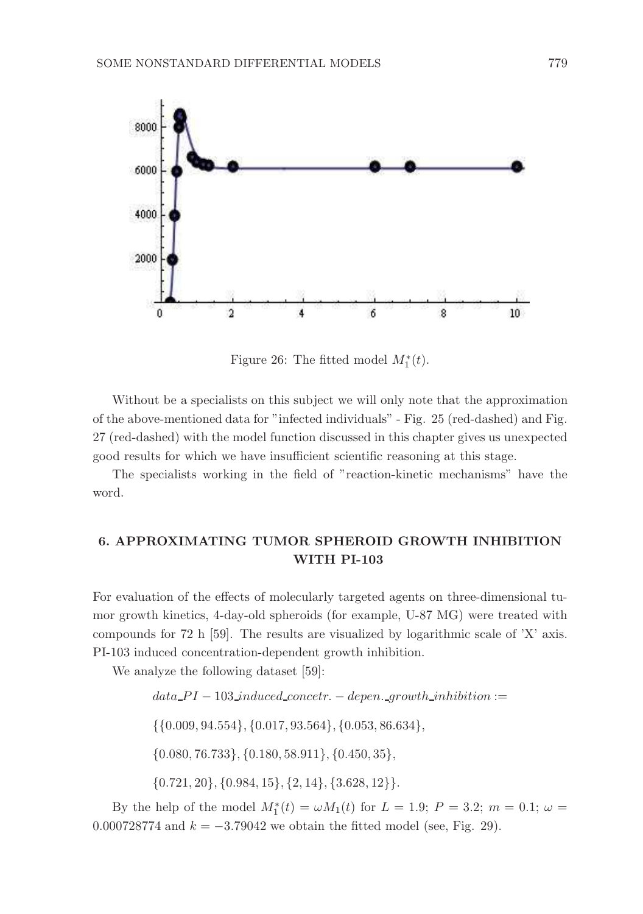

Figure 26: The fitted model  $M_1^*(t)$ .

Without be a specialists on this subject we will only note that the approximation of the above-mentioned data for "infected individuals" - Fig. 25 (red-dashed) and Fig. 27 (red-dashed) with the model function discussed in this chapter gives us unexpected good results for which we have insufficient scientific reasoning at this stage.

The specialists working in the field of "reaction-kinetic mechanisms" have the word.

# 6. APPROXIMATING TUMOR SPHEROID GROWTH INHIBITION WITH PI-103

For evaluation of the effects of molecularly targeted agents on three-dimensional tumor growth kinetics, 4-day-old spheroids (for example, U-87 MG) were treated with compounds for 72 h [59]. The results are visualized by logarithmic scale of 'X' axis. PI-103 induced concentration-dependent growth inhibition.

We analyze the following dataset [59]:

 $data\_PI - 103\_induced\_concept. - deepen\_growth\_inhibition :=$ 

{{0.009, 94.554}, {0.017, 93.564}, {0.053, 86.634},

 $\{0.080, 76.733\}, \{0.180, 58.911\}, \{0.450, 35\},\$ 

 $\{0.721, 20\}, \{0.984, 15\}, \{2, 14\}, \{3.628, 12\}\}.$ 

By the help of the model  $M_1^*(t) = \omega M_1(t)$  for  $L = 1.9; P = 3.2; m = 0.1; \omega =$ 0.000728774 and  $k = -3.79042$  we obtain the fitted model (see, Fig. 29).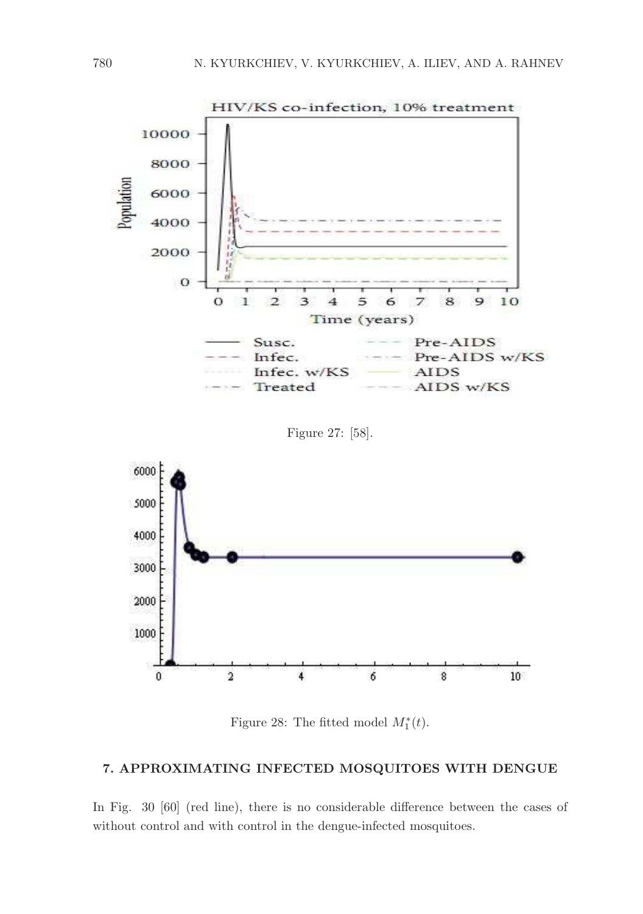

Figure 28: The fitted model  $M_1^*(t)$ .

### 7. APPROXIMATING INFECTED MOSQUITOES WITH DENGUE

In Fig. 30 [60] (red line), there is no considerable difference between the cases of without control and with control in the dengue-infected mosquitoes.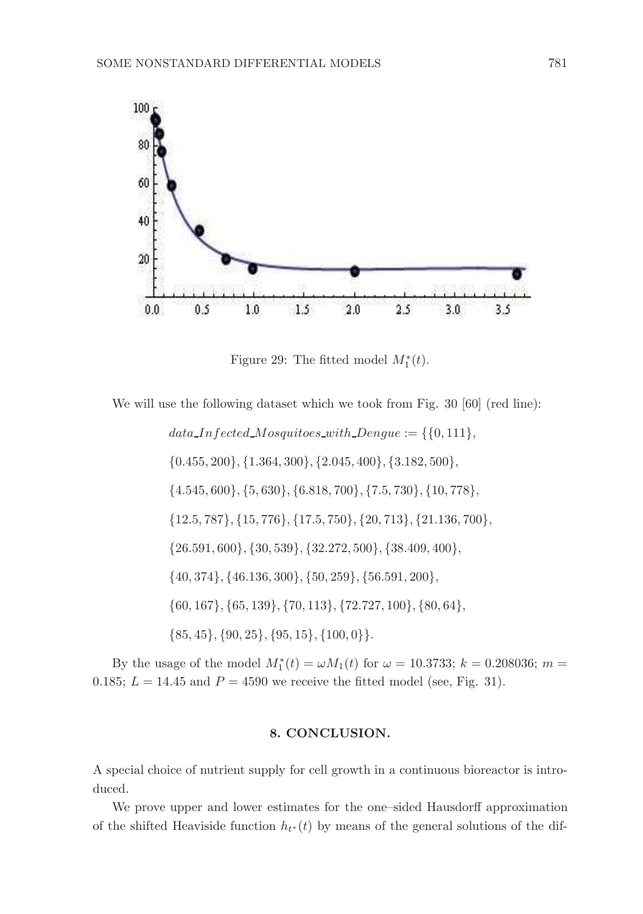

Figure 29: The fitted model  $M_1^*(t)$ .

We will use the following dataset which we took from Fig. 30 [60] (red line):

 $data\_Infected\_Mosquitoes\_with\_Dengue := \{\{0, 111\},\}$  $\{0.455, 200\}, \{1.364, 300\}, \{2.045, 400\}, \{3.182, 500\},$ {4.545, 600}, {5, 630}, {6.818, 700}, {7.5, 730}, {10, 778}, {12.5, 787}, {15, 776}, {17.5, 750}, {20, 713}, {21.136, 700}, {26.591, 600}, {30, 539}, {32.272, 500}, {38.409, 400}, {40, 374}, {46.136, 300}, {50, 259}, {56.591, 200}, {60, 167}, {65, 139}, {70, 113}, {72.727, 100}, {80, 64},  $\{85, 45\}, \{90, 25\}, \{95, 15\}, \{100, 0\}\}.$ 

By the usage of the model  $M_1^*(t) = \omega M_1(t)$  for  $\omega = 10.3733$ ;  $k = 0.208036$ ;  $m =$ 0.185;  $L = 14.45$  and  $P = 4590$  we receive the fitted model (see, Fig. 31).

### 8. CONCLUSION.

A special choice of nutrient supply for cell growth in a continuous bioreactor is introduced.

We prove upper and lower estimates for the one–sided Hausdorff approximation of the shifted Heaviside function  $h_{t*}(t)$  by means of the general solutions of the dif-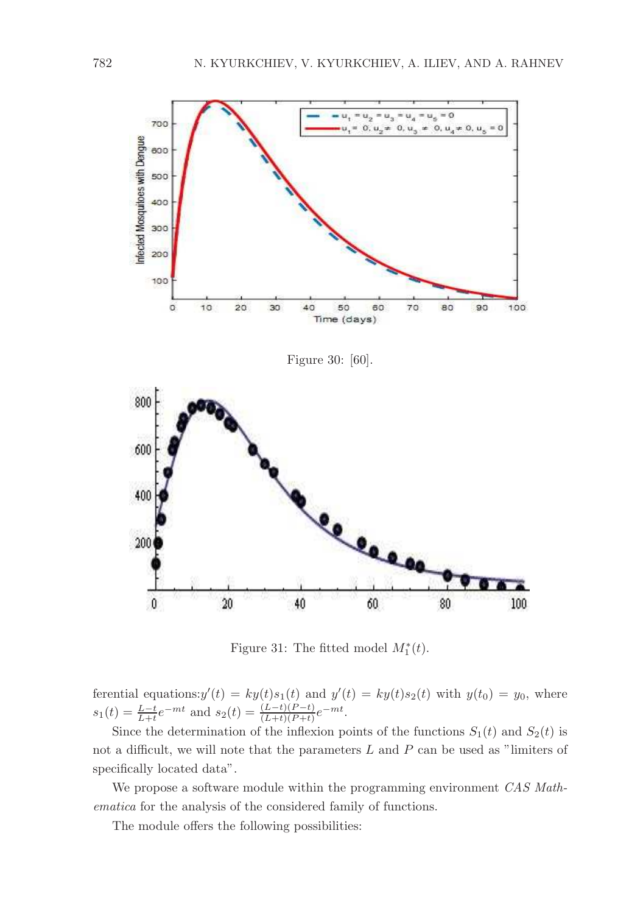

Figure 31: The fitted model  $M_1^*(t)$ .

ferential equations:  $y'(t) = ky(t)s_1(t)$  and  $y'(t) = ky(t)s_2(t)$  with  $y(t_0) = y_0$ , where  $s_1(t) = \frac{L-t}{L+t}e^{-mt}$  and  $s_2(t) = \frac{(L-t)(P-t)}{(L+t)(P+t)}e^{-mt}$ .

Since the determination of the inflexion points of the functions  $S_1(t)$  and  $S_2(t)$  is not a difficult, we will note that the parameters  $L$  and  $P$  can be used as "limiters of specifically located data".

We propose a software module within the programming environment *CAS Mathematica* for the analysis of the considered family of functions.

The module offers the following possibilities: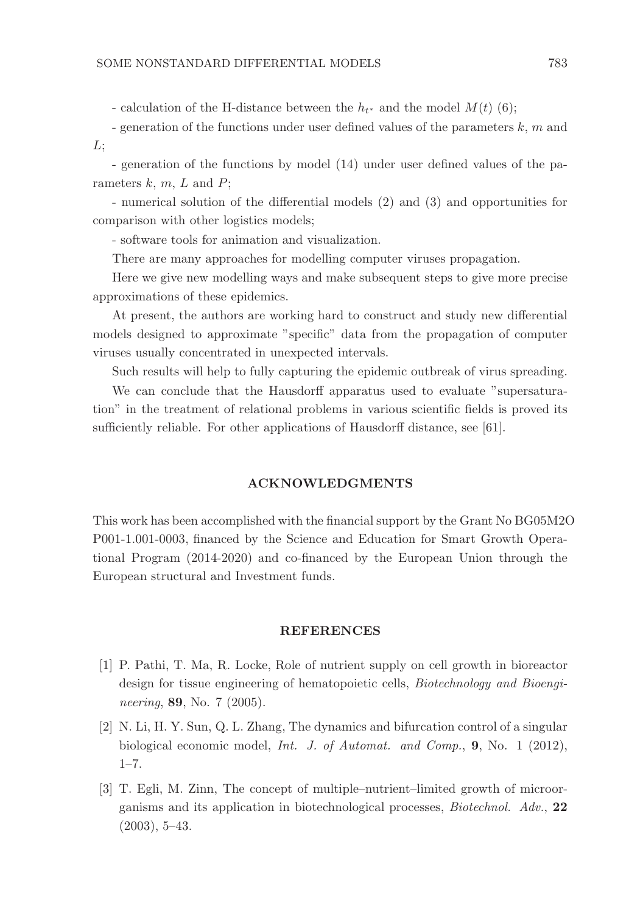- calculation of the H-distance between the  $h_{t^*}$  and the model  $M(t)$  (6);

- generation of the functions under user defined values of the parameters  $k, m$  and  $L:$ 

- generation of the functions by model (14) under user defined values of the parameters  $k, m, L$  and  $P$ ;

- numerical solution of the differential models (2) and (3) and opportunities for comparison with other logistics models;

- software tools for animation and visualization.

There are many approaches for modelling computer viruses propagation.

Here we give new modelling ways and make subsequent steps to give more precise approximations of these epidemics.

At present, the authors are working hard to construct and study new differential models designed to approximate "specific" data from the propagation of computer viruses usually concentrated in unexpected intervals.

Such results will help to fully capturing the epidemic outbreak of virus spreading.

We can conclude that the Hausdorff apparatus used to evaluate "supersaturation" in the treatment of relational problems in various scientific fields is proved its sufficiently reliable. For other applications of Hausdorff distance, see [61].

### ACKNOWLEDGMENTS

This work has been accomplished with the financial support by the Grant No BG05M2O P001-1.001-0003, financed by the Science and Education for Smart Growth Operational Program (2014-2020) and co-financed by the European Union through the European structural and Investment funds.

### **REFERENCES**

- [1] P. Pathi, T. Ma, R. Locke, Role of nutrient supply on cell growth in bioreactor design for tissue engineering of hematopoietic cells, *Biotechnology and Bioengineering*, 89, No. 7 (2005).
- [2] N. Li, H. Y. Sun, Q. L. Zhang, The dynamics and bifurcation control of a singular biological economic model, *Int. J. of Automat. and Comp.*, 9, No. 1 (2012), 1–7.
- [3] T. Egli, M. Zinn, The concept of multiple–nutrient–limited growth of microorganisms and its application in biotechnological processes, *Biotechnol. Adv.*, 22  $(2003), 5-43.$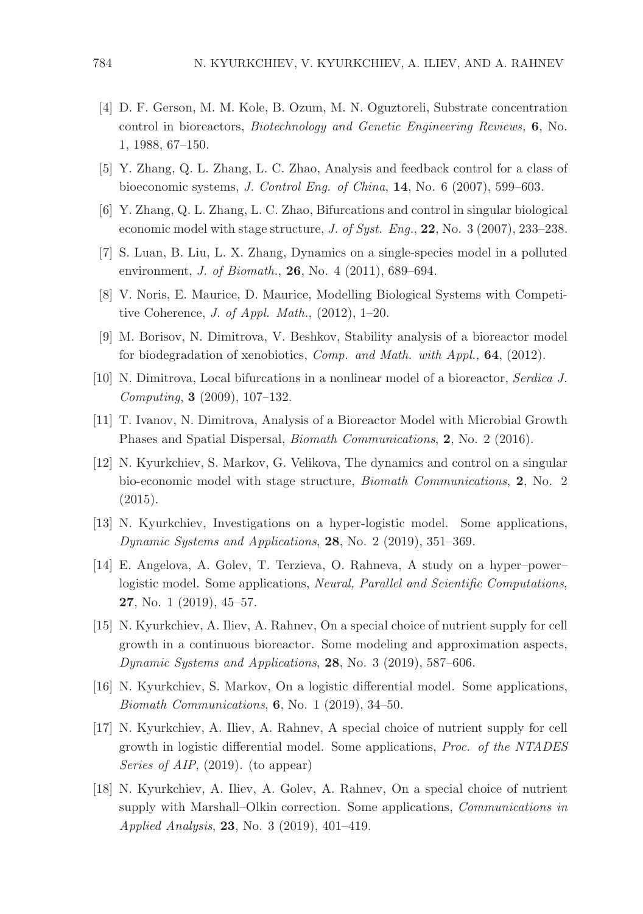- [4] D. F. Gerson, M. M. Kole, B. Ozum, M. N. Oguztoreli, Substrate concentration control in bioreactors, *Biotechnology and Genetic Engineering Reviews,* 6, No. 1, 1988, 67–150.
- [5] Y. Zhang, Q. L. Zhang, L. C. Zhao, Analysis and feedback control for a class of bioeconomic systems, *J. Control Eng. of China*, 14, No. 6 (2007), 599–603.
- [6] Y. Zhang, Q. L. Zhang, L. C. Zhao, Bifurcations and control in singular biological economic model with stage structure, *J. of Syst. Eng.*, 22, No. 3 (2007), 233–238.
- [7] S. Luan, B. Liu, L. X. Zhang, Dynamics on a single-species model in a polluted environment, *J. of Biomath.*, 26, No. 4 (2011), 689–694.
- [8] V. Noris, E. Maurice, D. Maurice, Modelling Biological Systems with Competitive Coherence, *J. of Appl. Math.*, (2012), 1–20.
- [9] M. Borisov, N. Dimitrova, V. Beshkov, Stability analysis of a bioreactor model for biodegradation of xenobiotics, *Comp. and Math. with Appl.,* 64, (2012).
- [10] N. Dimitrova, Local bifurcations in a nonlinear model of a bioreactor, *Serdica J. Computing*, 3 (2009), 107–132.
- [11] T. Ivanov, N. Dimitrova, Analysis of a Bioreactor Model with Microbial Growth Phases and Spatial Dispersal, *Biomath Communications*, 2, No. 2 (2016).
- [12] N. Kyurkchiev, S. Markov, G. Velikova, The dynamics and control on a singular bio-economic model with stage structure, *Biomath Communications*, 2, No. 2 (2015).
- [13] N. Kyurkchiev, Investigations on a hyper-logistic model. Some applications, *Dynamic Systems and Applications*, 28, No. 2 (2019), 351–369.
- [14] E. Angelova, A. Golev, T. Terzieva, O. Rahneva, A study on a hyper–power– logistic model. Some applications, *Neural, Parallel and Scientific Computations*, 27, No. 1 (2019), 45–57.
- [15] N. Kyurkchiev, A. Iliev, A. Rahnev, On a special choice of nutrient supply for cell growth in a continuous bioreactor. Some modeling and approximation aspects, *Dynamic Systems and Applications*, 28, No. 3 (2019), 587–606.
- [16] N. Kyurkchiev, S. Markov, On a logistic differential model. Some applications, *Biomath Communications*, 6, No. 1 (2019), 34–50.
- [17] N. Kyurkchiev, A. Iliev, A. Rahnev, A special choice of nutrient supply for cell growth in logistic differential model. Some applications, *Proc. of the NTADES Series of AIP*, (2019). (to appear)
- [18] N. Kyurkchiev, A. Iliev, A. Golev, A. Rahnev, On a special choice of nutrient supply with Marshall–Olkin correction. Some applications, *Communications in Applied Analysis*, 23, No. 3 (2019), 401–419.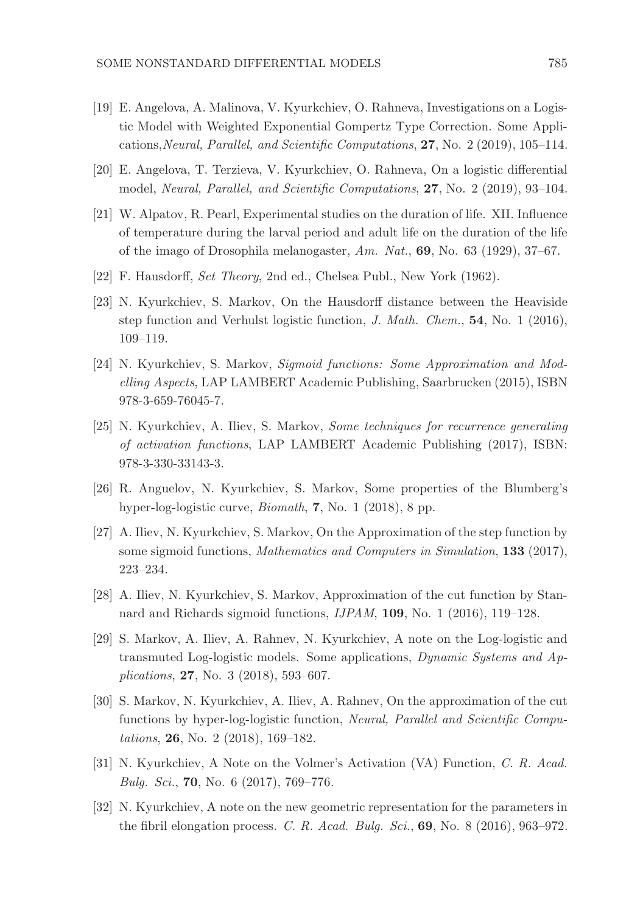- [19] E. Angelova, A. Malinova, V. Kyurkchiev, O. Rahneva, Investigations on a Logistic Model with Weighted Exponential Gompertz Type Correction. Some Applications,*Neural, Parallel, and Scientific Computations*, 27, No. 2 (2019), 105–114.
- [20] E. Angelova, T. Terzieva, V. Kyurkchiev, O. Rahneva, On a logistic differential model, *Neural, Parallel, and Scientific Computations*, 27, No. 2 (2019), 93–104.
- [21] W. Alpatov, R. Pearl, Experimental studies on the duration of life. XII. Influence of temperature during the larval period and adult life on the duration of the life of the imago of Drosophila melanogaster, *Am. Nat.*, 69, No. 63 (1929), 37–67.
- [22] F. Hausdorff, *Set Theory*, 2nd ed., Chelsea Publ., New York (1962).
- [23] N. Kyurkchiev, S. Markov, On the Hausdorff distance between the Heaviside step function and Verhulst logistic function, *J. Math. Chem.*, 54, No. 1 (2016), 109–119.
- [24] N. Kyurkchiev, S. Markov, *Sigmoid functions: Some Approximation and Modelling Aspects*, LAP LAMBERT Academic Publishing, Saarbrucken (2015), ISBN 978-3-659-76045-7.
- [25] N. Kyurkchiev, A. Iliev, S. Markov, *Some techniques for recurrence generating of activation functions*, LAP LAMBERT Academic Publishing (2017), ISBN: 978-3-330-33143-3.
- [26] R. Anguelov, N. Kyurkchiev, S. Markov, Some properties of the Blumberg's hyper-log-logistic curve, *Biomath*, 7, No. 1 (2018), 8 pp.
- [27] A. Iliev, N. Kyurkchiev, S. Markov, On the Approximation of the step function by some sigmoid functions, *Mathematics and Computers in Simulation*, 133 (2017), 223–234.
- [28] A. Iliev, N. Kyurkchiev, S. Markov, Approximation of the cut function by Stannard and Richards sigmoid functions, *IJPAM*, 109, No. 1 (2016), 119–128.
- [29] S. Markov, A. Iliev, A. Rahnev, N. Kyurkchiev, A note on the Log-logistic and transmuted Log-logistic models. Some applications, *Dynamic Systems and Applications*, 27, No. 3 (2018), 593–607.
- [30] S. Markov, N. Kyurkchiev, A. Iliev, A. Rahnev, On the approximation of the cut functions by hyper-log-logistic function, *Neural, Parallel and Scientific Computations*, 26, No. 2 (2018), 169–182.
- [31] N. Kyurkchiev, A Note on the Volmer's Activation (VA) Function, *C. R. Acad. Bulg. Sci.*, 70, No. 6 (2017), 769–776.
- [32] N. Kyurkchiev, A note on the new geometric representation for the parameters in the fibril elongation process. *C. R. Acad. Bulg. Sci.*, 69, No. 8 (2016), 963–972.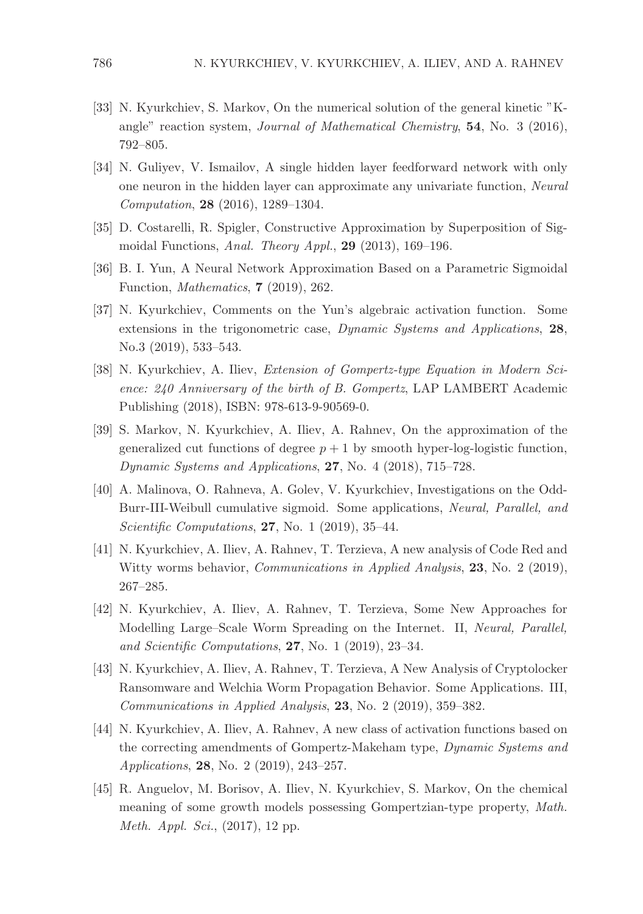- [33] N. Kyurkchiev, S. Markov, On the numerical solution of the general kinetic "Kangle" reaction system, *Journal of Mathematical Chemistry*, 54, No. 3 (2016), 792–805.
- [34] N. Guliyev, V. Ismailov, A single hidden layer feedforward network with only one neuron in the hidden layer can approximate any univariate function, *Neural Computation*, 28 (2016), 1289–1304.
- [35] D. Costarelli, R. Spigler, Constructive Approximation by Superposition of Sigmoidal Functions, *Anal. Theory Appl.*, 29 (2013), 169–196.
- [36] B. I. Yun, A Neural Network Approximation Based on a Parametric Sigmoidal Function, *Mathematics*, 7 (2019), 262.
- [37] N. Kyurkchiev, Comments on the Yun's algebraic activation function. Some extensions in the trigonometric case, *Dynamic Systems and Applications*, 28, No.3 (2019), 533–543.
- [38] N. Kyurkchiev, A. Iliev, *Extension of Gompertz-type Equation in Modern Science: 240 Anniversary of the birth of B. Gompertz*, LAP LAMBERT Academic Publishing (2018), ISBN: 978-613-9-90569-0.
- [39] S. Markov, N. Kyurkchiev, A. Iliev, A. Rahnev, On the approximation of the generalized cut functions of degree  $p + 1$  by smooth hyper-log-logistic function, *Dynamic Systems and Applications*, 27, No. 4 (2018), 715–728.
- [40] A. Malinova, O. Rahneva, A. Golev, V. Kyurkchiev, Investigations on the Odd-Burr-III-Weibull cumulative sigmoid. Some applications, *Neural, Parallel, and Scientific Computations*, 27, No. 1 (2019), 35–44.
- [41] N. Kyurkchiev, A. Iliev, A. Rahnev, T. Terzieva, A new analysis of Code Red and Witty worms behavior, *Communications in Applied Analysis*, 23, No. 2 (2019), 267–285.
- [42] N. Kyurkchiev, A. Iliev, A. Rahnev, T. Terzieva, Some New Approaches for Modelling Large–Scale Worm Spreading on the Internet. II, *Neural, Parallel, and Scientific Computations*, 27, No. 1 (2019), 23–34.
- [43] N. Kyurkchiev, A. Iliev, A. Rahnev, T. Terzieva, A New Analysis of Cryptolocker Ransomware and Welchia Worm Propagation Behavior. Some Applications. III, *Communications in Applied Analysis*, 23, No. 2 (2019), 359–382.
- [44] N. Kyurkchiev, A. Iliev, A. Rahnev, A new class of activation functions based on the correcting amendments of Gompertz-Makeham type, *Dynamic Systems and Applications*, 28, No. 2 (2019), 243–257.
- [45] R. Anguelov, M. Borisov, A. Iliev, N. Kyurkchiev, S. Markov, On the chemical meaning of some growth models possessing Gompertzian-type property, *Math. Meth. Appl. Sci.*, (2017), 12 pp.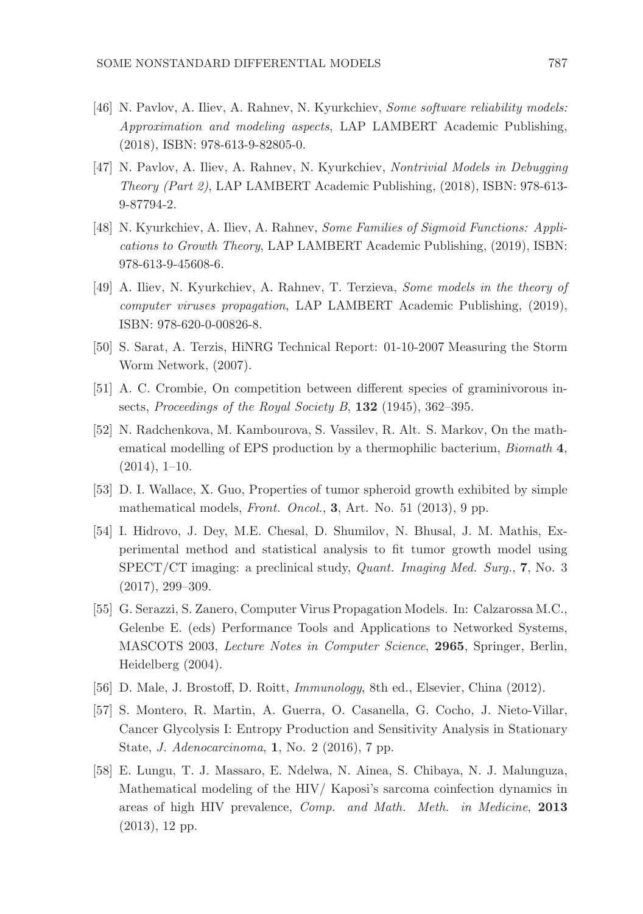- [46] N. Pavlov, A. Iliev, A. Rahnev, N. Kyurkchiev, *Some software reliability models: Approximation and modeling aspects*, LAP LAMBERT Academic Publishing, (2018), ISBN: 978-613-9-82805-0.
- [47] N. Pavlov, A. Iliev, A. Rahnev, N. Kyurkchiev, *Nontrivial Models in Debugging Theory (Part 2)*, LAP LAMBERT Academic Publishing, (2018), ISBN: 978-613- 9-87794-2.
- [48] N. Kyurkchiev, A. Iliev, A. Rahnev, *Some Families of Sigmoid Functions: Applications to Growth Theory*, LAP LAMBERT Academic Publishing, (2019), ISBN: 978-613-9-45608-6.
- [49] A. Iliev, N. Kyurkchiev, A. Rahnev, T. Terzieva, *Some models in the theory of computer viruses propagation*, LAP LAMBERT Academic Publishing, (2019), ISBN: 978-620-0-00826-8.
- [50] S. Sarat, A. Terzis, HiNRG Technical Report: 01-10-2007 Measuring the Storm Worm Network, (2007).
- [51] A. C. Crombie, On competition between different species of graminivorous insects, *Proceedings of the Royal Society B*, 132 (1945), 362–395.
- [52] N. Radchenkova, M. Kambourova, S. Vassilev, R. Alt. S. Markov, On the mathematical modelling of EPS production by a thermophilic bacterium, *Biomath* 4,  $(2014), 1-10.$
- [53] D. I. Wallace, X. Guo, Properties of tumor spheroid growth exhibited by simple mathematical models, *Front. Oncol.*, 3, Art. No. 51 (2013), 9 pp.
- [54] I. Hidrovo, J. Dey, M.E. Chesal, D. Shumilov, N. Bhusal, J. M. Mathis, Experimental method and statistical analysis to fit tumor growth model using SPECT/CT imaging: a preclinical study, *Quant. Imaging Med. Surg.*, 7, No. 3 (2017), 299–309.
- [55] G. Serazzi, S. Zanero, Computer Virus Propagation Models. In: Calzarossa M.C., Gelenbe E. (eds) Performance Tools and Applications to Networked Systems, MASCOTS 2003, *Lecture Notes in Computer Science*, 2965, Springer, Berlin, Heidelberg (2004).
- [56] D. Male, J. Brostoff, D. Roitt, *Immunology*, 8th ed., Elsevier, China (2012).
- [57] S. Montero, R. Martin, A. Guerra, O. Casanella, G. Cocho, J. Nieto-Villar, Cancer Glycolysis I: Entropy Production and Sensitivity Analysis in Stationary State, *J. Adenocarcinoma*, 1, No. 2 (2016), 7 pp.
- [58] E. Lungu, T. J. Massaro, E. Ndelwa, N. Ainea, S. Chibaya, N. J. Malunguza, Mathematical modeling of the HIV/ Kaposi's sarcoma coinfection dynamics in areas of high HIV prevalence, *Comp. and Math. Meth. in Medicine*, 2013 (2013), 12 pp.